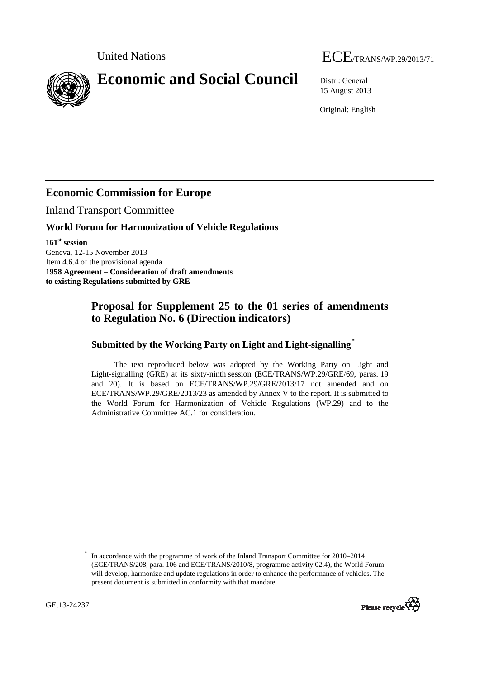# United Nations ECE/TRANS/WP.29/2013/71

<span id="page-0-0"></span>**Economic and Social Council** Distr.: General

15 August 2013

Original: English

## **Economic Commission for Europe**

Inland Transport Committee

#### **World Forum for Harmonization of Vehicle Regulations**

**161st session**  Geneva, 12-15 November 2013 Item 4.6.4 of the provisional agenda **1958 Agreement – Consideration of draft amendments to existing Regulations submitted by GRE** 

### **Proposal for Supplement 25 to the 01 series of amendments to Regulation No. 6 (Direction indicators)**

#### **Submitted by the Working Party on Light and Light-signalling[\\*](#page-0-0)**

The text reproduced below was adopted by the Working Party on Light and Light-signalling (GRE) at its sixty-ninth session (ECE/TRANS/WP.29/GRE/69, paras. 19 and 20). It is based on ECE/TRANS/WP.29/GRE/2013/17 not amended and on ECE/TRANS/WP.29/GRE/2013/23 as amended by Annex V to the report. It is submitted to the World Forum for Harmonization of Vehicle Regulations (WP.29) and to the Administrative Committee AC.1 for consideration.

<sup>\*</sup> In accordance with the programme of work of the Inland Transport Committee for 2010–2014 (ECE/TRANS/208, para. 106 and ECE/TRANS/2010/8, programme activity 02.4), the World Forum will develop, harmonize and update regulations in order to enhance the performance of vehicles. The present document is submitted in conformity with that mandate.

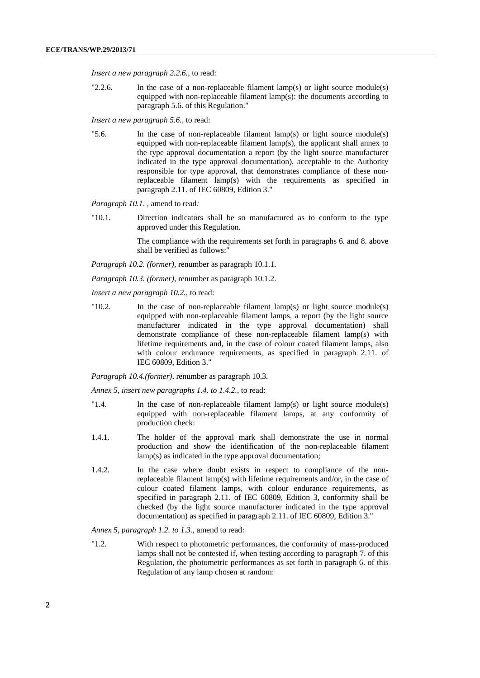*Insert a new paragraph 2.2.6.*, to read:

"2.2.6. In the case of a non-replaceable filament lamp(s) or light source module(s) equipped with non-replaceable filament lamp(s): the documents according to paragraph 5.6. of this Regulation."

*Insert a new paragraph 5.6.,* to read:

"5.6. In the case of non-replaceable filament lamp(s) or light source module(s) equipped with non-replaceable filament lamp(s), the applicant shall annex to the type approval documentation a report (by the light source manufacturer indicated in the type approval documentation), acceptable to the Authority responsible for type approval, that demonstrates compliance of these nonreplaceable filament lamp(s) with the requirements as specified in paragraph 2.11. of IEC 60809, Edition 3."

*Paragraph 10.1. ,* amend to read*:* 

"10.1. Direction indicators shall be so manufactured as to conform to the type approved under this Regulation.

> The compliance with the requirements set forth in paragraphs 6. and 8. above shall be verified as follows:"

*Paragraph 10.2. (former)*, renumber as paragraph 10.1.1.

*Paragraph 10.3. (former)*, renumber as paragraph 10.1.2.

*Insert a new paragraph 10.2.,* to read:

"10.2. In the case of non-replaceable filament lamp(s) or light source module(s) equipped with non-replaceable filament lamps, a report (by the light source manufacturer indicated in the type approval documentation) shall demonstrate compliance of these non-replaceable filament lamp(s) with lifetime requirements and, in the case of colour coated filament lamps, also with colour endurance requirements, as specified in paragraph 2.11. of IEC 60809, Edition 3."

*Paragraph 10.4.(former),* renumber as paragraph 10.3*.* 

*Annex 5, insert new paragraphs 1.4. to 1.4.2.*, to read:

- "1.4. In the case of non-replaceable filament lamp(s) or light source module(s) equipped with non-replaceable filament lamps, at any conformity of production check:
- 1.4.1. The holder of the approval mark shall demonstrate the use in normal production and show the identification of the non-replaceable filament lamp(s) as indicated in the type approval documentation;
- 1.4.2. In the case where doubt exists in respect to compliance of the nonreplaceable filament lamp(s) with lifetime requirements and/or, in the case of colour coated filament lamps, with colour endurance requirements, as specified in paragraph 2.11. of IEC 60809, Edition 3, conformity shall be checked (by the light source manufacturer indicated in the type approval documentation) as specified in paragraph 2.11. of IEC 60809, Edition 3."

*Annex 5, paragraph 1.2. to 1.3.,* amend to read:

"1.2. With respect to photometric performances, the conformity of mass-produced lamps shall not be contested if, when testing according to paragraph 7. of this Regulation, the photometric performances as set forth in paragraph 6. of this Regulation of any lamp chosen at random: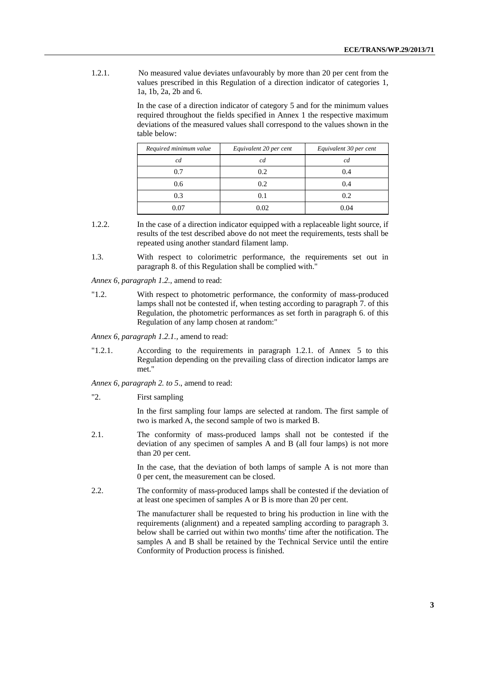1.2.1. No measured value deviates unfavourably by more than 20 per cent from the values prescribed in this Regulation of a direction indicator of categories 1, 1a, 1b, 2a, 2b and 6.

> In the case of a direction indicator of category 5 and for the minimum values required throughout the fields specified in Annex 1 the respective maximum deviations of the measured values shall correspond to the values shown in the table below:

| Required minimum value | Equivalent 20 per cent | Equivalent 30 per cent |
|------------------------|------------------------|------------------------|
| cd                     | cd                     | cd                     |
| 0.7                    | 0.2                    | 0.4                    |
| 0.6                    | 0.2                    | 0.4                    |
| 0.3                    | 0.1                    | 0.2                    |
| 0.07                   | 0.02                   | 0.04                   |

- 1.2.2. In the case of a direction indicator equipped with a replaceable light source, if results of the test described above do not meet the requirements, tests shall be repeated using another standard filament lamp.
- 1.3. With respect to colorimetric performance, the requirements set out in paragraph 8. of this Regulation shall be complied with."

*Annex 6, paragraph 1.2.,* amend to read:

"1.2. With respect to photometric performance, the conformity of mass-produced lamps shall not be contested if, when testing according to paragraph 7. of this Regulation, the photometric performances as set forth in paragraph 6. of this Regulation of any lamp chosen at random:"

*Annex 6, paragraph 1.2.1.,* amend to read:

"1.2.1. According to the requirements in paragraph 1.2.1. of Annex 5 to this Regulation depending on the prevailing class of direction indicator lamps are met."

*Annex 6, paragraph 2. to 5*., amend to read:

"2. First sampling

In the first sampling four lamps are selected at random. The first sample of two is marked A, the second sample of two is marked B.

2.1. The conformity of mass-produced lamps shall not be contested if the deviation of any specimen of samples A and B (all four lamps) is not more than 20 per cent.

> In the case, that the deviation of both lamps of sample A is not more than 0 per cent, the measurement can be closed.

2.2. The conformity of mass-produced lamps shall be contested if the deviation of at least one specimen of samples A or B is more than 20 per cent.

> The manufacturer shall be requested to bring his production in line with the requirements (alignment) and a repeated sampling according to paragraph 3. below shall be carried out within two months' time after the notification. The samples A and B shall be retained by the Technical Service until the entire Conformity of Production process is finished.